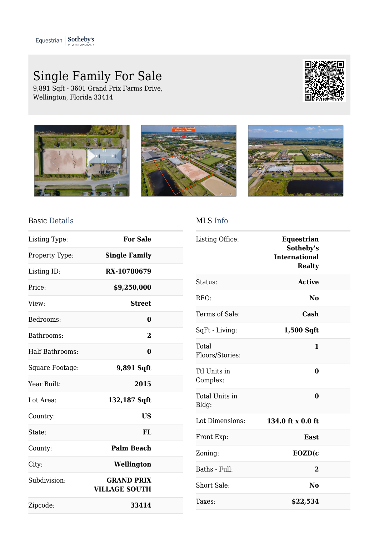## Single Family For Sale

9,891 Sqft - 3601 Grand Prix Farms Drive, Wellington, Florida 33414









## Basic Details

| Listing Type:          | <b>For Sale</b>                           |  |
|------------------------|-------------------------------------------|--|
| Property Type:         | <b>Single Family</b>                      |  |
| Listing ID:            | RX-10780679                               |  |
| Price:                 | \$9,250,000                               |  |
| View:                  | <b>Street</b>                             |  |
| Bedrooms:              | 0                                         |  |
| Bathrooms:             | $\overline{2}$                            |  |
| <b>Half Bathrooms:</b> | $\bf{0}$                                  |  |
| Square Footage:        | 9,891 Sqft                                |  |
| Year Built:            | 2015                                      |  |
| Lot Area:              | 132,187 Sqft                              |  |
| Country:               | <b>US</b>                                 |  |
| State:                 | FL                                        |  |
| County:                | <b>Palm Beach</b>                         |  |
| City:                  | Wellington                                |  |
| Subdivision:           | <b>GRAND PRIX</b><br><b>VILLAGE SOUTH</b> |  |
| Zipcode:               | 33414                                     |  |

## MLS Info

| Listing Office:          | <b>Equestrian</b><br>Sotheby's<br><b>International</b><br><b>Realty</b> |  |
|--------------------------|-------------------------------------------------------------------------|--|
| Status:                  | <b>Active</b>                                                           |  |
| REO:                     | No                                                                      |  |
| Terms of Sale:           | Cash                                                                    |  |
| SqFt - Living:           | 1,500 Sqft                                                              |  |
| Total<br>Floors/Stories: | 1                                                                       |  |
| Ttl Units in<br>Complex: | $\bf{0}$                                                                |  |
| Total Units in<br>Bldg:  | $\bf{0}$                                                                |  |
| Lot Dimensions:          | 134.0 ft x 0.0 ft                                                       |  |
| Front Exp:               | East                                                                    |  |
| Zoning:                  | EOZD(c                                                                  |  |
| Baths - Full:            | 2                                                                       |  |
| Short Sale:              | N <sub>0</sub>                                                          |  |
| Taxes:                   | \$22,534                                                                |  |
|                          |                                                                         |  |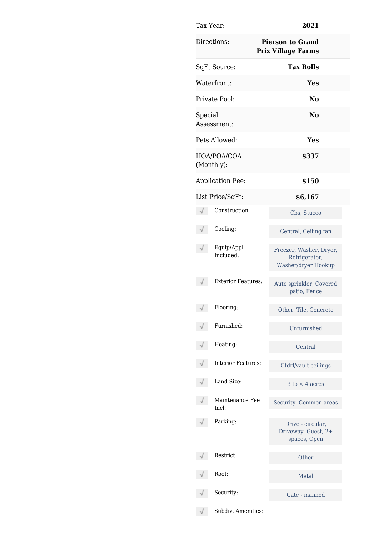| Tax Year:                 | 2021                                                            |  |
|---------------------------|-----------------------------------------------------------------|--|
| Directions:               | <b>Pierson to Grand</b><br><b>Prix Village Farms</b>            |  |
| SqFt Source:              | <b>Tax Rolls</b>                                                |  |
| Waterfront:               | Yes                                                             |  |
| Private Pool:             | N <sub>0</sub>                                                  |  |
| Special<br>Assessment:    | No.                                                             |  |
| Pets Allowed:             | Yes                                                             |  |
| HOA/POA/COA<br>(Monthly): | \$337                                                           |  |
| <b>Application Fee:</b>   | \$150                                                           |  |
| List Price/SqFt:          | \$6,167                                                         |  |
| Construction:             | Cbs, Stucco                                                     |  |
| Cooling:                  | Central, Ceiling fan                                            |  |
| Equip/Appl<br>Included:   | Freezer, Washer, Dryer,<br>Refrigerator,<br>Washer/dryer Hookup |  |
| <b>Exterior Features:</b> | Auto sprinkler, Covered<br>patio, Fence                         |  |
| Flooring:                 | Other, Tile, Concrete                                           |  |
| Furnished:                | Unfurnished                                                     |  |
| Heating:                  | Central                                                         |  |
| <b>Interior Features:</b> | Ctdrl/vault ceilings                                            |  |
| Land Size:                | $3$ to $<$ 4 acres                                              |  |
| Maintenance Fee<br>Incl:  | Security, Common areas                                          |  |
| Parking:                  | Drive - circular,<br>Driveway, Guest, 2+<br>spaces, Open        |  |
| Restrict:                 | Other                                                           |  |
| Roof:                     | Metal                                                           |  |
| Security:                 | Gate - manned                                                   |  |
| Subdiv. Amenities:        |                                                                 |  |